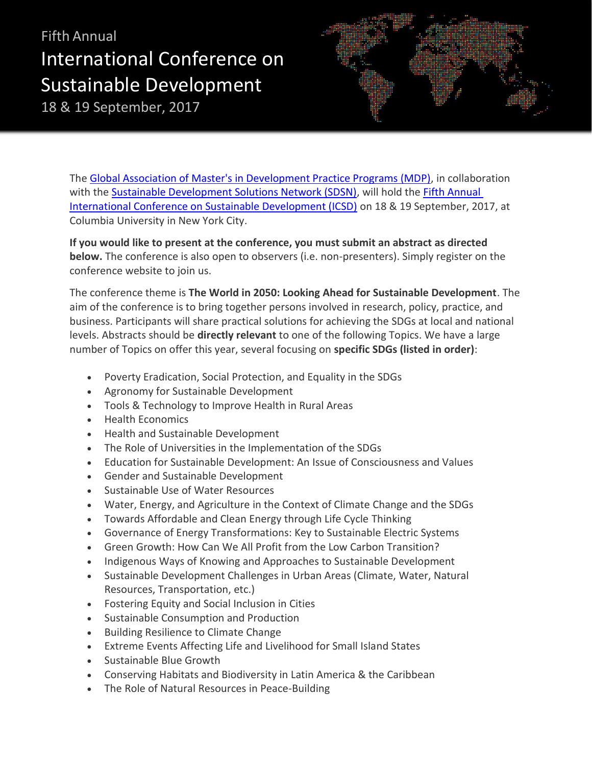## Fifth Annual International Conference on Sustainable Development

18 & 19 September, 2017



The Global Association of Master's in Development Practice Programs (MDP), in collaboration with the Sustainable Development Solutions Network (SDSN), will hold the Fifth Annual International Conference on Sustainable Development (ICSD) on 18 & 19 September, 2017, at Columbia University in New York City.

**If you would like to present at the conference, you must submit an abstract as directed below.** The conference is also open to observers (i.e. non-presenters). Simply register on the conference website to join us.

The conference theme is **The World in 2050: Looking Ahead for Sustainable Development**. The aim of the conference is to bring together persons involved in research, policy, practice, and business. Participants will share practical solutions for achieving the SDGs at local and national levels. Abstracts should be **directly relevant** to one of the following Topics. We have a large number of Topics on offer this year, several focusing on **specific SDGs (listed in order)**:

- Poverty Eradication, Social Protection, and Equality in the SDGs
- Agronomy for Sustainable Development
- Tools & Technology to Improve Health in Rural Areas
- Health Economics
- Health and Sustainable Development
- The Role of Universities in the Implementation of the SDGs
- **Education for Sustainable Development: An Issue of Consciousness and Values**
- Gender and Sustainable Development
- Sustainable Use of Water Resources
- Water, Energy, and Agriculture in the Context of Climate Change and the SDGs
- Towards Affordable and Clean Energy through Life Cycle Thinking
- Governance of Energy Transformations: Key to Sustainable Electric Systems
- Green Growth: How Can We All Profit from the Low Carbon Transition?
- Indigenous Ways of Knowing and Approaches to Sustainable Development
- Sustainable Development Challenges in Urban Areas (Climate, Water, Natural Resources, Transportation, etc.)
- Fostering Equity and Social Inclusion in Cities
- Sustainable Consumption and Production
- **•** Building Resilience to Climate Change
- Extreme Events Affecting Life and Livelihood for Small Island States
- Sustainable Blue Growth
- Conserving Habitats and Biodiversity in Latin America & the Caribbean
- The Role of Natural Resources in Peace-Building